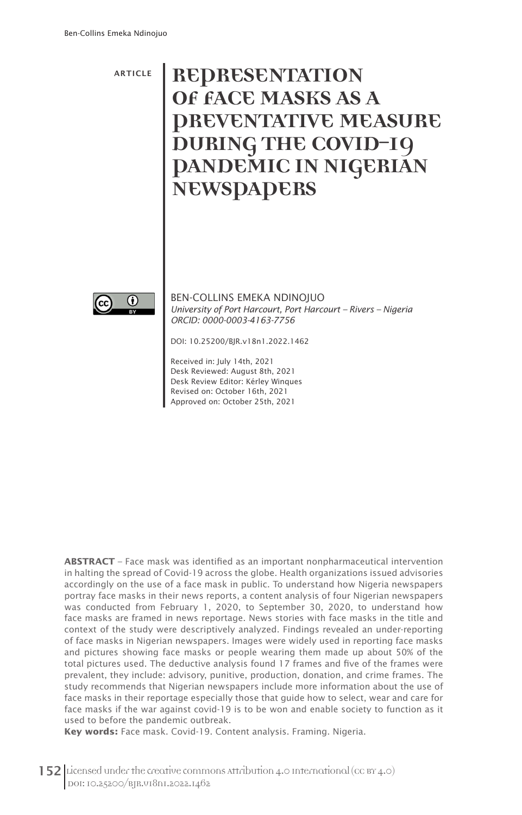## ARTICLE **REPRESENTATION OF FACE MASKS AS A PREVENTATIVE MEASURE DURING THE COVID-19 PANDEMIC IN NIGERIAN NEWSPAPERS**



BEN-COLLINS EMEKA NDINOJUO *University of Port Harcourt, Port Harcourt – Rivers – Nigeria ORCID: 0000-0003-4163-7756*

DOI: 10.25200/BJR.v18n1.2022.1462

Received in: July 14th, 2021 Desk Reviewed: August 8th, 2021 Desk Review Editor: Kérley Winques Revised on: October 16th, 2021 Approved on: October 25th, 2021

**ABSTRACT** – Face mask was identified as an important nonpharmaceutical intervention in halting the spread of Covid-19 across the globe. Health organizations issued advisories accordingly on the use of a face mask in public. To understand how Nigeria newspapers portray face masks in their news reports, a content analysis of four Nigerian newspapers was conducted from February 1, 2020, to September 30, 2020, to understand how face masks are framed in news reportage. News stories with face masks in the title and context of the study were descriptively analyzed. Findings revealed an under-reporting of face masks in Nigerian newspapers. Images were widely used in reporting face masks and pictures showing face masks or people wearing them made up about 50% of the total pictures used. The deductive analysis found 17 frames and five of the frames were prevalent, they include: advisory, punitive, production, donation, and crime frames. The study recommends that Nigerian newspapers include more information about the use of face masks in their reportage especially those that guide how to select, wear and care for face masks if the war against covid-19 is to be won and enable society to function as it used to before the pandemic outbreak.

**Key words:** Face mask. Covid-19. Content analysis. Framing. Nigeria.

152 Licensed under the creative commons Attribution 4.0 International (CC BY 4.0) DOI: 10.25200/BJR.v18n1.2022.1462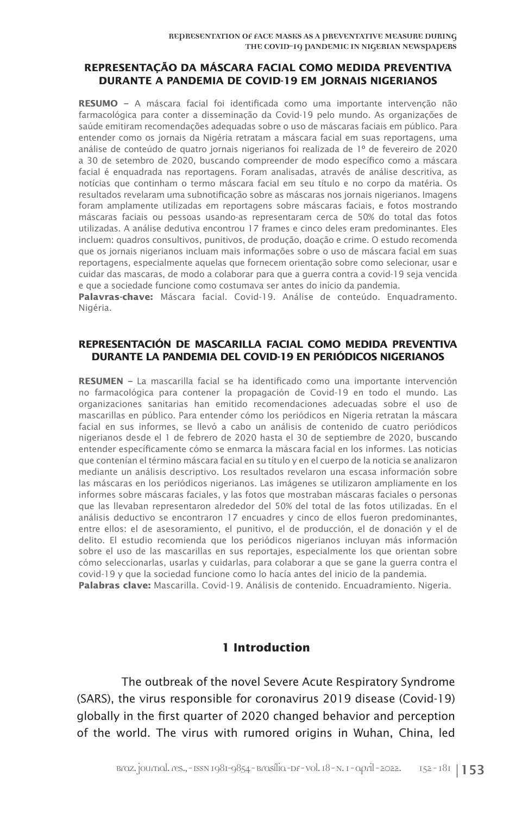#### **REPRESENTAÇÃO DA MÁSCARA FACIAL COMO MEDIDA PREVENTIVA DURANTE A PANDEMIA DE COVID-19 EM JORNAIS NIGERIANOS**

**RESUMO –** A máscara facial foi identificada como uma importante intervenção não farmacológica para conter a disseminação da Covid-19 pelo mundo. As organizações de saúde emitiram recomendações adequadas sobre o uso de máscaras faciais em público. Para entender como os jornais da Nigéria retratam a máscara facial em suas reportagens, uma análise de conteúdo de quatro jornais nigerianos foi realizada de 1º de fevereiro de 2020 a 30 de setembro de 2020, buscando compreender de modo específico como a máscara facial é enquadrada nas reportagens. Foram analisadas, através de análise descritiva, as notícias que continham o termo máscara facial em seu título e no corpo da matéria. Os resultados revelaram uma subnotificação sobre as máscaras nos jornais nigerianos. Imagens foram amplamente utilizadas em reportagens sobre máscaras faciais, e fotos mostrando máscaras faciais ou pessoas usando-as representaram cerca de 50% do total das fotos utilizadas. A análise dedutiva encontrou 17 frames e cinco deles eram predominantes. Eles incluem: quadros consultivos, punitivos, de produção, doação e crime. O estudo recomenda que os jornais nigerianos incluam mais informações sobre o uso de máscara facial em suas reportagens, especialmente aquelas que fornecem orientação sobre como selecionar, usar e cuidar das mascaras, de modo a colaborar para que a guerra contra a covid-19 seja vencida e que a sociedade funcione como costumava ser antes do início da pandemia.

**Palavras-chave:** Máscara facial. Covid-19. Análise de conteúdo. Enquadramento. Nigéria.

#### **REPRESENTACIÓN DE MASCARILLA FACIAL COMO MEDIDA PREVENTIVA DURANTE LA PANDEMIA DEL COVID-19 EN PERIÓDICOS NIGERIANOS**

**RESUMEN –** La mascarilla facial se ha identificado como una importante intervención no farmacológica para contener la propagación de Covid-19 en todo el mundo. Las organizaciones sanitarias han emitido recomendaciones adecuadas sobre el uso de mascarillas en público. Para entender cómo los periódicos en Nigeria retratan la máscara facial en sus informes, se llevó a cabo un análisis de contenido de cuatro periódicos nigerianos desde el 1 de febrero de 2020 hasta el 30 de septiembre de 2020, buscando entender específicamente cómo se enmarca la máscara facial en los informes. Las noticias que contenían el término máscara facial en su título y en el cuerpo de la noticia se analizaron mediante un análisis descriptivo. Los resultados revelaron una escasa información sobre las máscaras en los periódicos nigerianos. Las imágenes se utilizaron ampliamente en los informes sobre máscaras faciales, y las fotos que mostraban máscaras faciales o personas que las llevaban representaron alrededor del 50% del total de las fotos utilizadas. En el análisis deductivo se encontraron 17 encuadres y cinco de ellos fueron predominantes, entre ellos: el de asesoramiento, el punitivo, el de producción, el de donación y el de delito. El estudio recomienda que los periódicos nigerianos incluyan más información sobre el uso de las mascarillas en sus reportajes, especialmente los que orientan sobre cómo seleccionarlas, usarlas y cuidarlas, para colaborar a que se gane la guerra contra el covid-19 y que la sociedad funcione como lo hacía antes del inicio de la pandemia. **Palabras clave:** Mascarilla. Covid-19. Análisis de contenido. Encuadramiento. Nigeria.

#### **1 Introduction**

The outbreak of the novel Severe Acute Respiratory Syndrome (SARS), the virus responsible for coronavirus 2019 disease (Covid-19) globally in the first quarter of 2020 changed behavior and perception of the world. The virus with rumored origins in Wuhan, China, led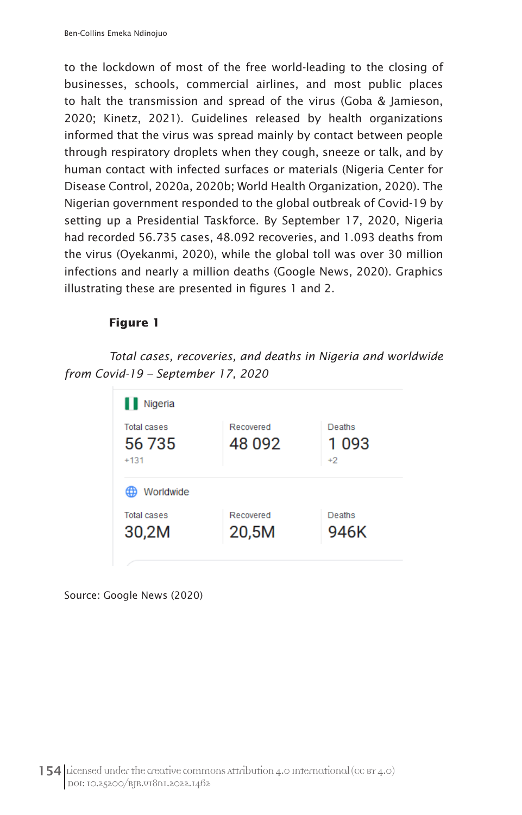to the lockdown of most of the free world-leading to the closing of businesses, schools, commercial airlines, and most public places to halt the transmission and spread of the virus (Goba & Jamieson, 2020; Kinetz, 2021). Guidelines released by health organizations informed that the virus was spread mainly by contact between people through respiratory droplets when they cough, sneeze or talk, and by human contact with infected surfaces or materials (Nigeria Center for Disease Control, 2020a, 2020b; World Health Organization, 2020). The Nigerian government responded to the global outbreak of Covid-19 by setting up a Presidential Taskforce. By September 17, 2020, Nigeria had recorded 56.735 cases, 48.092 recoveries, and 1.093 deaths from the virus (Oyekanmi, 2020), while the global toll was over 30 million infections and nearly a million deaths (Google News, 2020). Graphics illustrating these are presented in figures 1 and 2.

## **Figure 1**

*Total cases, recoveries, and deaths in Nigeria and worldwide from Covid-19 – September 17, 2020*

| Nigeria                                |                     |                        |
|----------------------------------------|---------------------|------------------------|
| <b>Total cases</b><br>56 735<br>$+131$ | Recovered<br>48 092 | Deaths<br>1093<br>$+2$ |
| Worldwide                              |                     |                        |
| <b>Total cases</b><br>30,2M            | Recovered<br>20,5M  | Deaths<br>946K         |

Source: Google News (2020)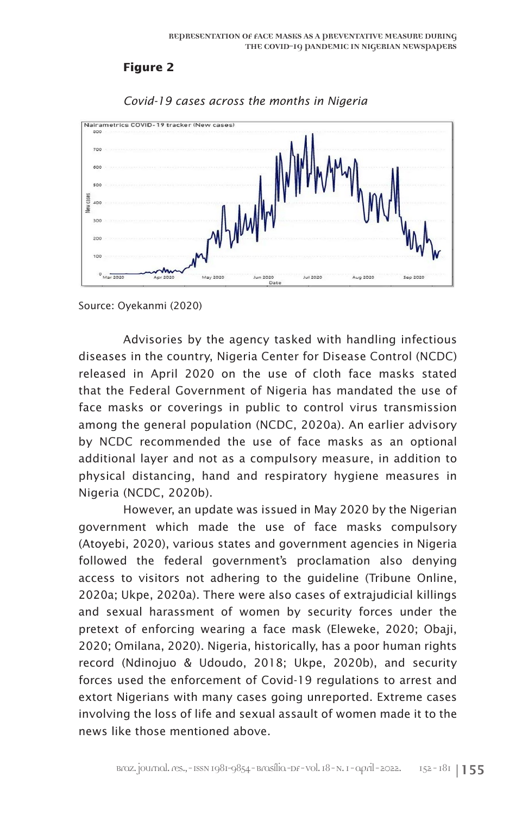### **Figure 2**



*Covid-19 cases across the months in Nigeria*

Advisories by the agency tasked with handling infectious diseases in the country, Nigeria Center for Disease Control (NCDC) released in April 2020 on the use of cloth face masks stated that the Federal Government of Nigeria has mandated the use of face masks or coverings in public to control virus transmission among the general population (NCDC, 2020a). An earlier advisory by NCDC recommended the use of face masks as an optional additional layer and not as a compulsory measure, in addition to physical distancing, hand and respiratory hygiene measures in Nigeria (NCDC, 2020b).

However, an update was issued in May 2020 by the Nigerian government which made the use of face masks compulsory (Atoyebi, 2020), various states and government agencies in Nigeria followed the federal government's proclamation also denying access to visitors not adhering to the guideline (Tribune Online, 2020a; Ukpe, 2020a). There were also cases of extrajudicial killings and sexual harassment of women by security forces under the pretext of enforcing wearing a face mask (Eleweke, 2020; Obaji, 2020; Omilana, 2020). Nigeria, historically, has a poor human rights record (Ndinojuo & Udoudo, 2018; Ukpe, 2020b), and security forces used the enforcement of Covid-19 regulations to arrest and extort Nigerians with many cases going unreported. Extreme cases involving the loss of life and sexual assault of women made it to the news like those mentioned above.

Source: Oyekanmi (2020)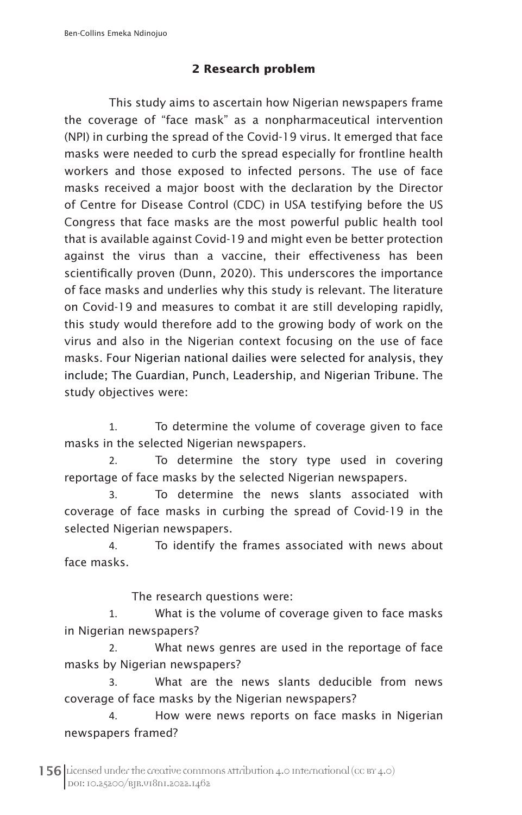## **2 Research problem**

This study aims to ascertain how Nigerian newspapers frame the coverage of "face mask" as a nonpharmaceutical intervention (NPI) in curbing the spread of the Covid-19 virus. It emerged that face masks were needed to curb the spread especially for frontline health workers and those exposed to infected persons. The use of face masks received a major boost with the declaration by the Director of Centre for Disease Control (CDC) in USA testifying before the US Congress that face masks are the most powerful public health tool that is available against Covid-19 and might even be better protection against the virus than a vaccine, their effectiveness has been scientifically proven (Dunn, 2020). This underscores the importance of face masks and underlies why this study is relevant. The literature on Covid-19 and measures to combat it are still developing rapidly, this study would therefore add to the growing body of work on the virus and also in the Nigerian context focusing on the use of face masks. Four Nigerian national dailies were selected for analysis, they include; The Guardian, Punch, Leadership, and Nigerian Tribune. The study objectives were:

1. To determine the volume of coverage given to face masks in the selected Nigerian newspapers.

2. To determine the story type used in covering reportage of face masks by the selected Nigerian newspapers.

3. To determine the news slants associated with coverage of face masks in curbing the spread of Covid-19 in the selected Nigerian newspapers.

4. To identify the frames associated with news about face masks.

The research questions were:

1. What is the volume of coverage given to face masks in Nigerian newspapers?

2. What news genres are used in the reportage of face masks by Nigerian newspapers?

3. What are the news slants deducible from news coverage of face masks by the Nigerian newspapers?

4. How were news reports on face masks in Nigerian newspapers framed?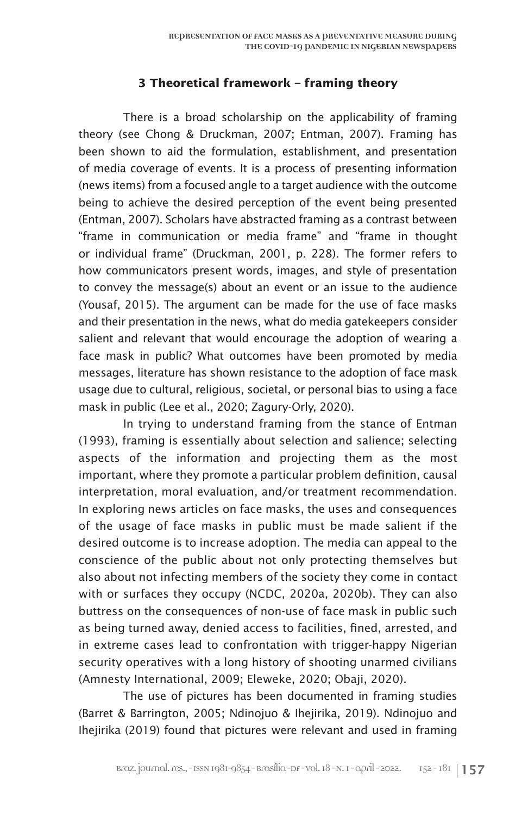#### **3 Theoretical framework – framing theory**

There is a broad scholarship on the applicability of framing theory (see Chong & Druckman, 2007; Entman, 2007). Framing has been shown to aid the formulation, establishment, and presentation of media coverage of events. It is a process of presenting information (news items) from a focused angle to a target audience with the outcome being to achieve the desired perception of the event being presented (Entman, 2007). Scholars have abstracted framing as a contrast between "frame in communication or media frame" and "frame in thought or individual frame" (Druckman, 2001, p. 228). The former refers to how communicators present words, images, and style of presentation to convey the message(s) about an event or an issue to the audience (Yousaf, 2015). The argument can be made for the use of face masks and their presentation in the news, what do media gatekeepers consider salient and relevant that would encourage the adoption of wearing a face mask in public? What outcomes have been promoted by media messages, literature has shown resistance to the adoption of face mask usage due to cultural, religious, societal, or personal bias to using a face mask in public (Lee et al., 2020; Zagury-Orly, 2020).

In trying to understand framing from the stance of Entman (1993), framing is essentially about selection and salience; selecting aspects of the information and projecting them as the most important, where they promote a particular problem definition, causal interpretation, moral evaluation, and/or treatment recommendation. In exploring news articles on face masks, the uses and consequences of the usage of face masks in public must be made salient if the desired outcome is to increase adoption. The media can appeal to the conscience of the public about not only protecting themselves but also about not infecting members of the society they come in contact with or surfaces they occupy (NCDC, 2020a, 2020b). They can also buttress on the consequences of non-use of face mask in public such as being turned away, denied access to facilities, fined, arrested, and in extreme cases lead to confrontation with trigger-happy Nigerian security operatives with a long history of shooting unarmed civilians (Amnesty International, 2009; Eleweke, 2020; Obaji, 2020).

The use of pictures has been documented in framing studies (Barret & Barrington, 2005; Ndinojuo & Ihejirika, 2019). Ndinojuo and Ihejirika (2019) found that pictures were relevant and used in framing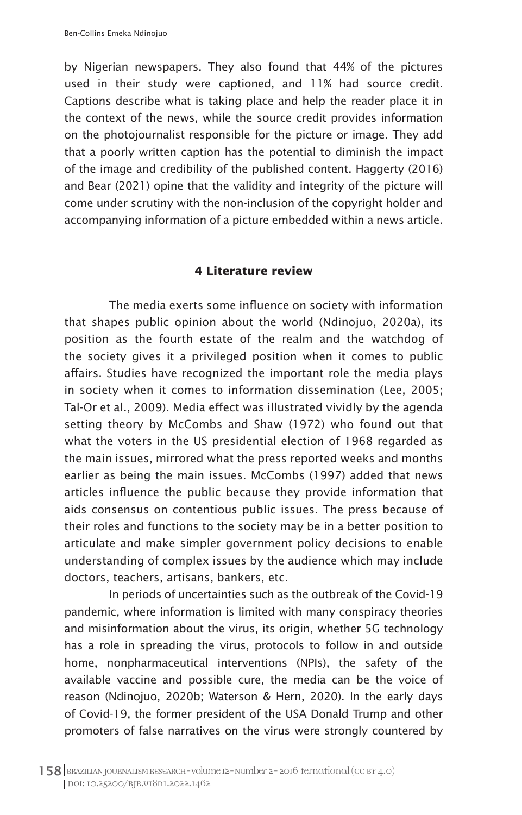by Nigerian newspapers. They also found that 44% of the pictures used in their study were captioned, and 11% had source credit. Captions describe what is taking place and help the reader place it in the context of the news, while the source credit provides information on the photojournalist responsible for the picture or image. They add that a poorly written caption has the potential to diminish the impact of the image and credibility of the published content. Haggerty (2016) and Bear (2021) opine that the validity and integrity of the picture will come under scrutiny with the non-inclusion of the copyright holder and accompanying information of a picture embedded within a news article.

#### **4 Literature review**

The media exerts some influence on society with information that shapes public opinion about the world (Ndinojuo, 2020a), its position as the fourth estate of the realm and the watchdog of the society gives it a privileged position when it comes to public affairs. Studies have recognized the important role the media plays in society when it comes to information dissemination (Lee, 2005; Tal-Or et al., 2009). Media effect was illustrated vividly by the agenda setting theory by McCombs and Shaw (1972) who found out that what the voters in the US presidential election of 1968 regarded as the main issues, mirrored what the press reported weeks and months earlier as being the main issues. McCombs (1997) added that news articles influence the public because they provide information that aids consensus on contentious public issues. The press because of their roles and functions to the society may be in a better position to articulate and make simpler government policy decisions to enable understanding of complex issues by the audience which may include doctors, teachers, artisans, bankers, etc.

In periods of uncertainties such as the outbreak of the Covid-19 pandemic, where information is limited with many conspiracy theories and misinformation about the virus, its origin, whether 5G technology has a role in spreading the virus, protocols to follow in and outside home, nonpharmaceutical interventions (NPIs), the safety of the available vaccine and possible cure, the media can be the voice of reason (Ndinojuo, 2020b; Waterson & Hern, 2020). In the early days of Covid-19, the former president of the USA Donald Trump and other promoters of false narratives on the virus were strongly countered by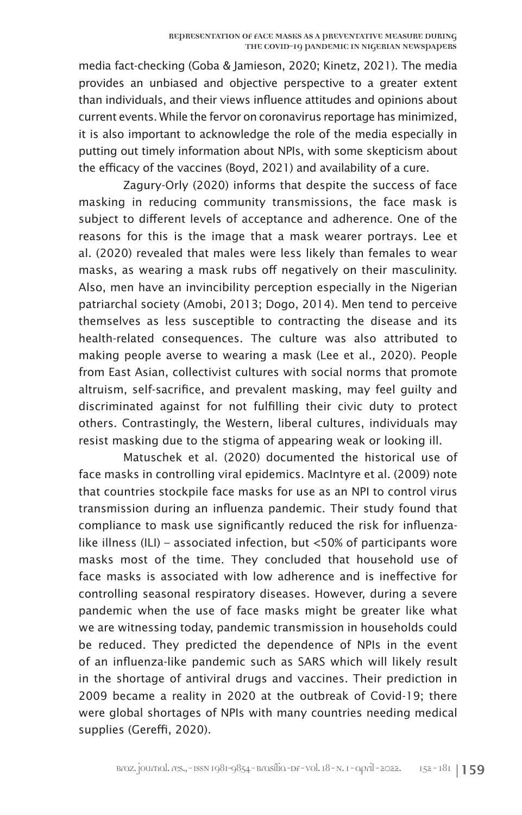media fact-checking (Goba & Jamieson, 2020; Kinetz, 2021). The media provides an unbiased and objective perspective to a greater extent than individuals, and their views influence attitudes and opinions about current events. While the fervor on coronavirus reportage has minimized, it is also important to acknowledge the role of the media especially in putting out timely information about NPIs, with some skepticism about the efficacy of the vaccines (Boyd, 2021) and availability of a cure.

Zagury-Orly (2020) informs that despite the success of face masking in reducing community transmissions, the face mask is subject to different levels of acceptance and adherence. One of the reasons for this is the image that a mask wearer portrays. Lee et al. (2020) revealed that males were less likely than females to wear masks, as wearing a mask rubs off negatively on their masculinity. Also, men have an invincibility perception especially in the Nigerian patriarchal society (Amobi, 2013; Dogo, 2014). Men tend to perceive themselves as less susceptible to contracting the disease and its health-related consequences. The culture was also attributed to making people averse to wearing a mask (Lee et al., 2020). People from East Asian, collectivist cultures with social norms that promote altruism, self-sacrifice, and prevalent masking, may feel guilty and discriminated against for not fulfilling their civic duty to protect others. Contrastingly, the Western, liberal cultures, individuals may resist masking due to the stigma of appearing weak or looking ill.

Matuschek et al. (2020) documented the historical use of face masks in controlling viral epidemics. MacIntyre et al. (2009) note that countries stockpile face masks for use as an NPI to control virus transmission during an influenza pandemic. Their study found that compliance to mask use significantly reduced the risk for influenzalike illness (ILI) – associated infection, but <50% of participants wore masks most of the time. They concluded that household use of face masks is associated with low adherence and is ineffective for controlling seasonal respiratory diseases. However, during a severe pandemic when the use of face masks might be greater like what we are witnessing today, pandemic transmission in households could be reduced. They predicted the dependence of NPIs in the event of an influenza-like pandemic such as SARS which will likely result in the shortage of antiviral drugs and vaccines. Their prediction in 2009 became a reality in 2020 at the outbreak of Covid-19; there were global shortages of NPIs with many countries needing medical supplies (Gereffi, 2020).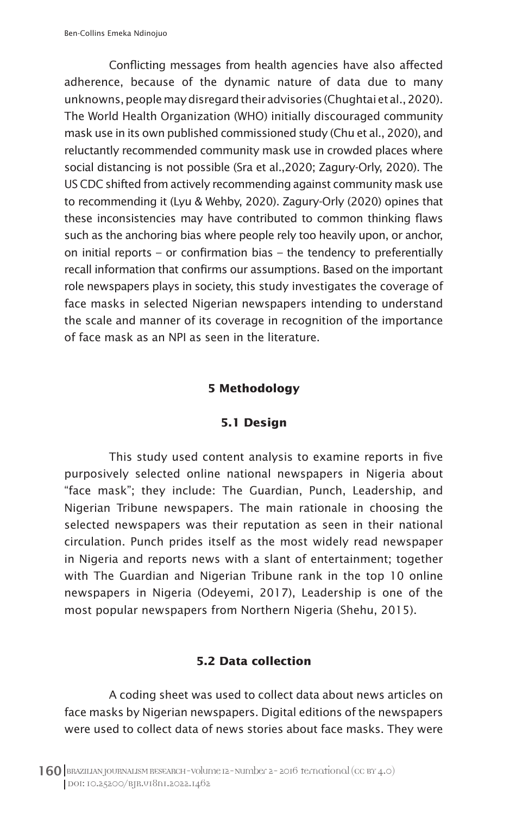Conflicting messages from health agencies have also affected adherence, because of the dynamic nature of data due to many unknowns, people may disregard their advisories (Chughtai et al., 2020). The World Health Organization (WHO) initially discouraged community mask use in its own published commissioned study (Chu et al., 2020), and reluctantly recommended community mask use in crowded places where social distancing is not possible (Sra et al.,2020; Zagury-Orly, 2020). The US CDC shifted from actively recommending against community mask use to recommending it (Lyu & Wehby, 2020). Zagury-Orly (2020) opines that these inconsistencies may have contributed to common thinking flaws such as the anchoring bias where people rely too heavily upon, or anchor, on initial reports – or confirmation bias – the tendency to preferentially recall information that confirms our assumptions. Based on the important role newspapers plays in society, this study investigates the coverage of face masks in selected Nigerian newspapers intending to understand the scale and manner of its coverage in recognition of the importance of face mask as an NPI as seen in the literature.

#### **5 Methodology**

#### **5.1 Design**

This study used content analysis to examine reports in five purposively selected online national newspapers in Nigeria about "face mask"; they include: The Guardian, Punch, Leadership, and Nigerian Tribune newspapers. The main rationale in choosing the selected newspapers was their reputation as seen in their national circulation. Punch prides itself as the most widely read newspaper in Nigeria and reports news with a slant of entertainment; together with The Guardian and Nigerian Tribune rank in the top 10 online newspapers in Nigeria (Odeyemi, 2017), Leadership is one of the most popular newspapers from Northern Nigeria (Shehu, 2015).

#### **5.2 Data collection**

A coding sheet was used to collect data about news articles on face masks by Nigerian newspapers. Digital editions of the newspapers were used to collect data of news stories about face masks. They were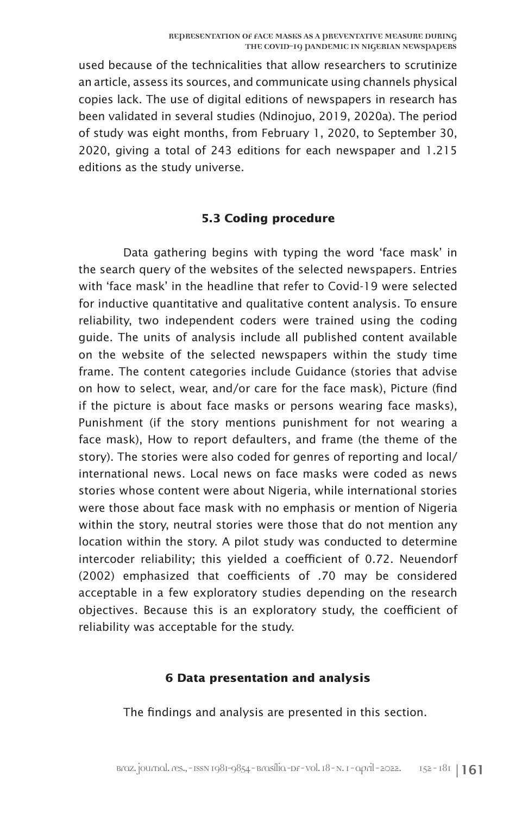used because of the technicalities that allow researchers to scrutinize an article, assess its sources, and communicate using channels physical copies lack. The use of digital editions of newspapers in research has been validated in several studies (Ndinojuo, 2019, 2020a). The period of study was eight months, from February 1, 2020, to September 30, 2020, giving a total of 243 editions for each newspaper and 1.215 editions as the study universe.

#### **5.3 Coding procedure**

Data gathering begins with typing the word 'face mask' in the search query of the websites of the selected newspapers. Entries with 'face mask' in the headline that refer to Covid-19 were selected for inductive quantitative and qualitative content analysis. To ensure reliability, two independent coders were trained using the coding guide. The units of analysis include all published content available on the website of the selected newspapers within the study time frame. The content categories include Guidance (stories that advise on how to select, wear, and/or care for the face mask), Picture (find if the picture is about face masks or persons wearing face masks), Punishment (if the story mentions punishment for not wearing a face mask), How to report defaulters, and frame (the theme of the story). The stories were also coded for genres of reporting and local/ international news. Local news on face masks were coded as news stories whose content were about Nigeria, while international stories were those about face mask with no emphasis or mention of Nigeria within the story, neutral stories were those that do not mention any location within the story. A pilot study was conducted to determine intercoder reliability; this yielded a coefficient of 0.72. Neuendorf (2002) emphasized that coefficients of .70 may be considered acceptable in a few exploratory studies depending on the research objectives. Because this is an exploratory study, the coefficient of reliability was acceptable for the study.

#### **6 Data presentation and analysis**

The findings and analysis are presented in this section.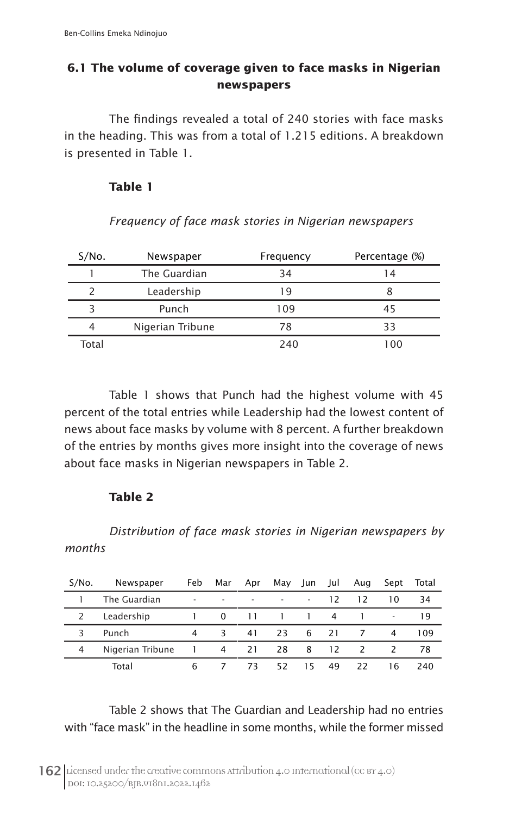## **6.1 The volume of coverage given to face masks in Nigerian newspapers**

The findings revealed a total of 240 stories with face masks in the heading. This was from a total of 1.215 editions. A breakdown is presented in Table 1.

## **Table 1**

| S/No. | Newspaper        | Frequency | Percentage (%) |
|-------|------------------|-----------|----------------|
|       | The Guardian     | 34        | 14             |
|       | Leadership       | l 9       |                |
|       | Punch            | 109       | 45             |
| 4     | Nigerian Tribune | 78        | 33             |
| Total |                  | 240       | 100            |

*Frequency of face mask stories in Nigerian newspapers*

Table 1 shows that Punch had the highest volume with 45 percent of the total entries while Leadership had the lowest content of news about face masks by volume with 8 percent. A further breakdown of the entries by months gives more insight into the coverage of news about face masks in Nigerian newspapers in Table 2.

## **Table 2**

*Distribution of face mask stories in Nigerian newspapers by months*

| S/No. | Newspaper        | Feb                      | Mar      | Apr | May | Jun                      | Jul | Aug           | Sept                     | Total |
|-------|------------------|--------------------------|----------|-----|-----|--------------------------|-----|---------------|--------------------------|-------|
|       | The Guardian     | $\overline{\phantom{a}}$ | ٠        |     | ٠   | $\overline{\phantom{a}}$ | 12  | 12            | 10                       | 34    |
|       | Leadership       |                          | $\Omega$ | 11  |     |                          | 4   |               | $\overline{\phantom{a}}$ | 19    |
| 3     | Punch            | 4                        | 3        | 41  | 23  | 6                        | 21  |               | 4                        | 109   |
| 4     | Nigerian Tribune |                          | 4        | 21  | 28  | 8                        | 12  | $\mathcal{L}$ |                          | 78    |
|       | Total            | 6                        |          | 73. | 52  | 15                       | 49  | 22            | 16                       | 240   |

Table 2 shows that The Guardian and Leadership had no entries with "face mask" in the headline in some months, while the former missed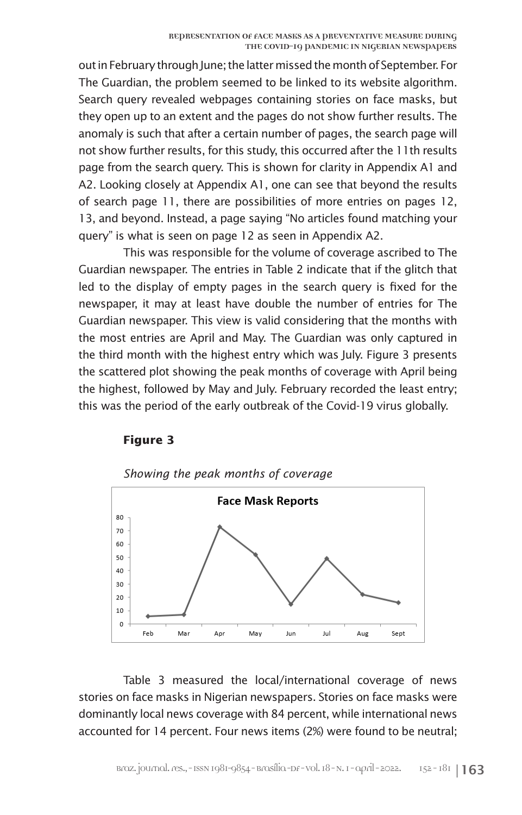out in February through June; the latter missed the month of September. For The Guardian, the problem seemed to be linked to its website algorithm. Search query revealed webpages containing stories on face masks, but they open up to an extent and the pages do not show further results. The anomaly is such that after a certain number of pages, the search page will not show further results, for this study, this occurred after the 11th results page from the search query. This is shown for clarity in Appendix A1 and A2. Looking closely at Appendix A1, one can see that beyond the results of search page 11, there are possibilities of more entries on pages 12, 13, and beyond. Instead, a page saying "No articles found matching your query" is what is seen on page 12 as seen in Appendix A2.

This was responsible for the volume of coverage ascribed to The Guardian newspaper. The entries in Table 2 indicate that if the glitch that led to the display of empty pages in the search query is fixed for the newspaper, it may at least have double the number of entries for The Guardian newspaper. This view is valid considering that the months with the most entries are April and May. The Guardian was only captured in the third month with the highest entry which was July. Figure 3 presents the scattered plot showing the peak months of coverage with April being the highest, followed by May and July. February recorded the least entry; this was the period of the early outbreak of the Covid-19 virus globally.

#### **Figure 3**



*Showing the peak months of coverage*

Table 3 measured the local/international coverage of news stories on face masks in Nigerian newspapers. Stories on face masks were dominantly local news coverage with 84 percent, while international news accounted for 14 percent. Four news items (2%) were found to be neutral;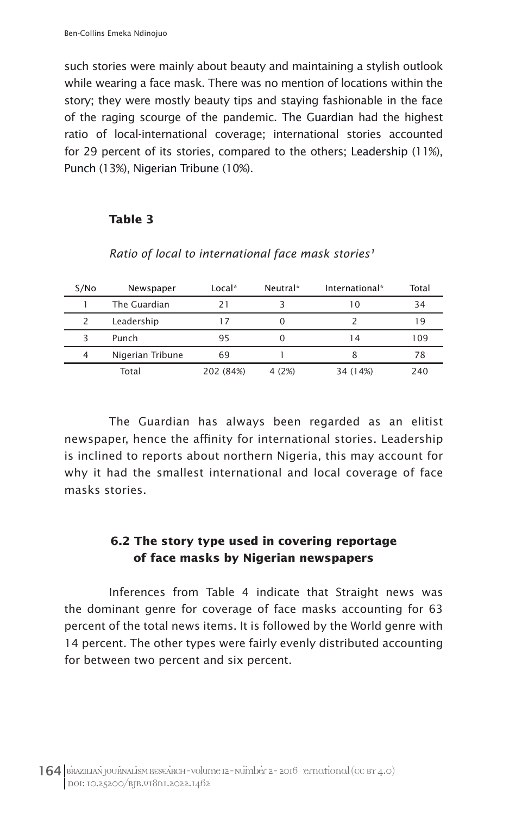such stories were mainly about beauty and maintaining a stylish outlook while wearing a face mask. There was no mention of locations within the story; they were mostly beauty tips and staying fashionable in the face of the raging scourge of the pandemic. The Guardian had the highest ratio of local-international coverage; international stories accounted for 29 percent of its stories, compared to the others; Leadership (11%), Punch (13%), Nigerian Tribune (10%).

#### **Table 3**

| S/No | Newspaper        | $Local*$  | Neutral* | International* | Total |
|------|------------------|-----------|----------|----------------|-------|
|      | The Guardian     |           |          |                | 34    |
|      | Leadership       |           |          |                | 19    |
|      | Punch            | 95        |          | i 4            | 109   |
| 4    | Nigerian Tribune | 69        |          |                | 78    |
|      | Total            | 202 (84%) | 4(2%)    | 34 (14%)       | 240   |

Ratio of local to international face mask stories<sup>1</sup>

The Guardian has always been regarded as an elitist newspaper, hence the affinity for international stories. Leadership is inclined to reports about northern Nigeria, this may account for why it had the smallest international and local coverage of face masks stories.

## **6.2 The story type used in covering reportage of face masks by Nigerian newspapers**

Inferences from Table 4 indicate that Straight news was the dominant genre for coverage of face masks accounting for 63 percent of the total news items. It is followed by the World genre with 14 percent. The other types were fairly evenly distributed accounting for between two percent and six percent.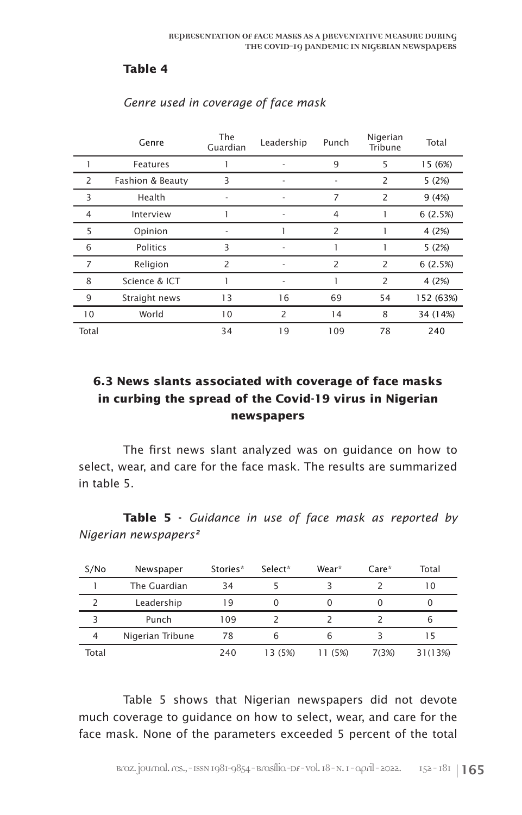#### **Table 4**

|                | Genre            | The<br>Guardian | Leadership     | Punch          | Nigerian<br>Tribune | Total     |
|----------------|------------------|-----------------|----------------|----------------|---------------------|-----------|
|                | Features         |                 |                | 9              | 5                   | 15 (6%)   |
| 2              | Fashion & Beauty | 3               |                |                | 2                   | 5(2%)     |
| 3              | Health           |                 |                | 7              | 2                   | 9(4%)     |
| $\overline{4}$ | Interview        |                 |                | $\overline{4}$ |                     | 6(2.5%)   |
| 5              | Opinion          |                 |                | 2              |                     | 4 (2%)    |
| 6              | Politics         | 3               |                |                |                     | 5(2%)     |
| $\overline{7}$ | Religion         | $\overline{2}$  |                | $\overline{2}$ | 2                   | 6(2.5%)   |
| 8              | Science & ICT    |                 |                |                | 2                   | 4 (2%)    |
| 9              | Straight news    | 13              | 16             | 69             | 54                  | 152 (63%) |
| 10             | World            | 10              | $\overline{2}$ | 14             | 8                   | 34 (14%)  |
| Total          |                  | 34              | 19             | 109            | 78                  | 240       |

#### *Genre used in coverage of face mask*

## **6.3 News slants associated with coverage of face masks in curbing the spread of the Covid-19 virus in Nigerian newspapers**

The first news slant analyzed was on guidance on how to select, wear, and care for the face mask. The results are summarized in table 5.

**Table 5 -** *Guidance in use of face mask as reported by Nigerian newspapers²*

| S/No  | Newspaper        | Stories* | Select* | Wear*   | $Care*$ | Total   |
|-------|------------------|----------|---------|---------|---------|---------|
|       | The Guardian     | 34       |         |         |         | 10      |
|       | Leadership       | 19       |         |         |         |         |
|       | Punch            | 109      |         |         |         | b       |
| 4     | Nigerian Tribune | 78       | 6       | 6       |         | 15      |
| Total |                  | 240      | 13 (5%) | 11 (5%) | 7(3%)   | 31(13%) |

Table 5 shows that Nigerian newspapers did not devote much coverage to guidance on how to select, wear, and care for the face mask. None of the parameters exceeded 5 percent of the total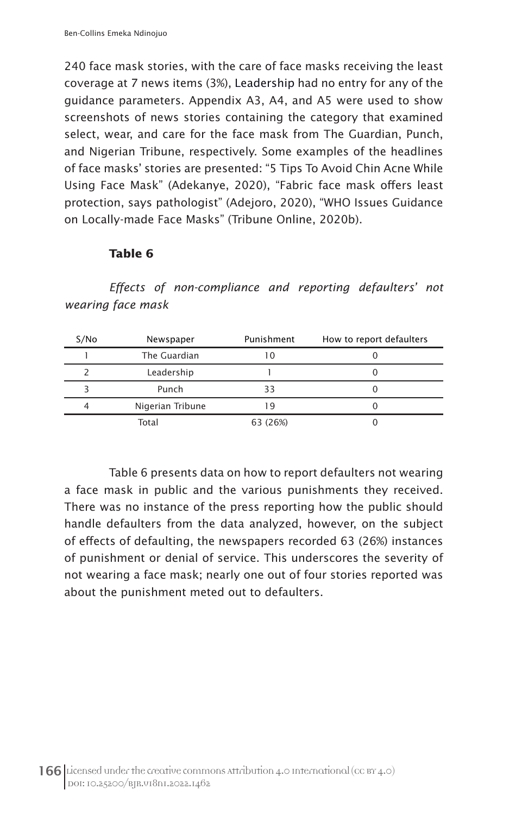240 face mask stories, with the care of face masks receiving the least coverage at 7 news items (3%), Leadership had no entry for any of the guidance parameters. Appendix A3, A4, and A5 were used to show screenshots of news stories containing the category that examined select, wear, and care for the face mask from The Guardian, Punch, and Nigerian Tribune, respectively. Some examples of the headlines of face masks' stories are presented: "5 Tips To Avoid Chin Acne While Using Face Mask" (Adekanye, 2020), "Fabric face mask offers least protection, says pathologist" (Adejoro, 2020), "WHO Issues Guidance on Locally-made Face Masks" (Tribune Online, 2020b).

## **Table 6**

*Effects of non-compliance and reporting defaulters' not wearing face mask*

| S/No | Newspaper        | Punishment | How to report defaulters |
|------|------------------|------------|--------------------------|
|      | The Guardian     | 10         |                          |
|      | Leadership       |            |                          |
|      | Punch            | 33         |                          |
| 4    | Nigerian Tribune | 19         |                          |
|      | Total            | 63 (26%)   |                          |

Table 6 presents data on how to report defaulters not wearing a face mask in public and the various punishments they received. There was no instance of the press reporting how the public should handle defaulters from the data analyzed, however, on the subject of effects of defaulting, the newspapers recorded 63 (26%) instances of punishment or denial of service. This underscores the severity of not wearing a face mask; nearly one out of four stories reported was about the punishment meted out to defaulters.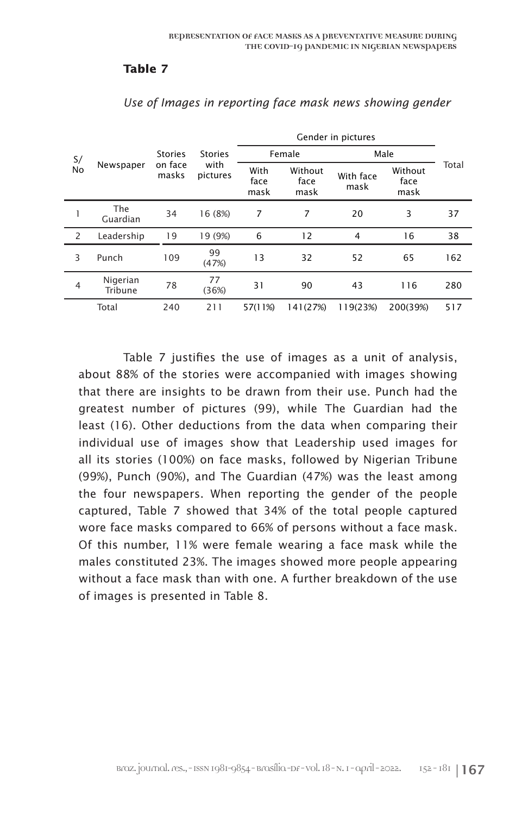#### **Table 7**

| S/             |                                                   | <b>Stories</b> | <b>Stories</b>       |                         | Female            | Male                    |          |     |
|----------------|---------------------------------------------------|----------------|----------------------|-------------------------|-------------------|-------------------------|----------|-----|
| No             | with<br>on face<br>Newspaper<br>masks<br>pictures |                | With<br>face<br>mask | Without<br>face<br>mask | With face<br>mask | Without<br>face<br>mask | Total    |     |
|                | The<br>Guardian                                   | 34             | 16 (8%)              | 7                       | 7                 | 20                      | 3        | 37  |
| 2              | Leadership                                        | 19             | 19 (9%)              | 6                       | 12                | $\overline{4}$          | 16       | 38  |
| 3              | Punch                                             | 109            | 99<br>(47%)          | 13                      | 32                | 52                      | 65       | 162 |
| $\overline{4}$ | Nigerian<br>Tribune                               | 78             | 77<br>(36%)          | 31                      | 90                | 43                      | 116      | 280 |
|                | Total                                             | 240            | 211                  | 57(11%)                 | 141(27%)          | 119(23%)                | 200(39%) | 517 |

*Use of Images in reporting face mask news showing gender*

Table 7 justifies the use of images as a unit of analysis, about 88% of the stories were accompanied with images showing that there are insights to be drawn from their use. Punch had the greatest number of pictures (99), while The Guardian had the least (16). Other deductions from the data when comparing their individual use of images show that Leadership used images for all its stories (100%) on face masks, followed by Nigerian Tribune (99%), Punch (90%), and The Guardian (47%) was the least among the four newspapers. When reporting the gender of the people captured, Table 7 showed that 34% of the total people captured wore face masks compared to 66% of persons without a face mask. Of this number, 11% were female wearing a face mask while the males constituted 23%. The images showed more people appearing without a face mask than with one. A further breakdown of the use of images is presented in Table 8.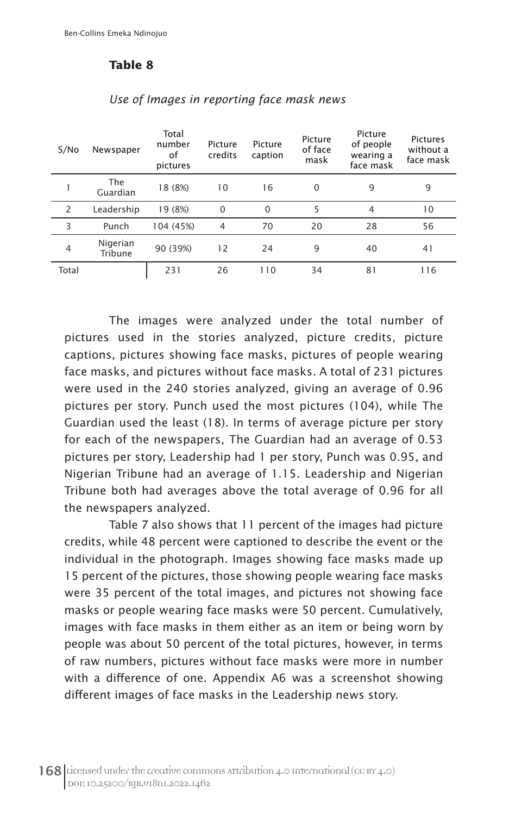#### **Table 8**

| S/No           | Newspaper              | Total<br>number<br>of<br>pictures | Picture<br>credits | Picture<br>caption | Picture<br>of face<br>mask | Picture<br>of people<br>wearing a<br>face mask | <b>Pictures</b><br>without a<br>face mask |
|----------------|------------------------|-----------------------------------|--------------------|--------------------|----------------------------|------------------------------------------------|-------------------------------------------|
|                | <b>The</b><br>Guardian | 18 (8%)                           | 10                 | 16                 | $\Omega$                   | 9                                              | 9                                         |
| $\overline{2}$ | Leadership             | 19 (8%)                           | $\Omega$           | $\mathbf 0$        | 5                          | 4                                              | 10                                        |
| 3              | Punch                  | 104 (45%)                         | 4                  | 70                 | 20                         | 28                                             | 56                                        |
| 4              | Nigerian<br>Tribune    | 90 (39%)                          | 12                 | 24                 | 9                          | 40                                             | 41                                        |
| Total          |                        | 231                               | 26                 | 110                | 34                         | 81                                             | 116                                       |

#### *Use of Images in reporting face mask news*

The images were analyzed under the total number of pictures used in the stories analyzed, picture credits, picture captions, pictures showing face masks, pictures of people wearing face masks, and pictures without face masks. A total of 231 pictures were used in the 240 stories analyzed, giving an average of 0.96 pictures per story. Punch used the most pictures (104), while The Guardian used the least (18). In terms of average picture per story for each of the newspapers, The Guardian had an average of 0.53 pictures per story, Leadership had 1 per story, Punch was 0.95, and Nigerian Tribune had an average of 1.15. Leadership and Nigerian Tribune both had averages above the total average of 0.96 for all the newspapers analyzed.

Table 7 also shows that 11 percent of the images had picture credits, while 48 percent were captioned to describe the event or the individual in the photograph. Images showing face masks made up 15 percent of the pictures, those showing people wearing face masks were 35 percent of the total images, and pictures not showing face masks or people wearing face masks were 50 percent. Cumulatively, images with face masks in them either as an item or being worn by people was about 50 percent of the total pictures, however, in terms of raw numbers, pictures without face masks were more in number with a difference of one. Appendix A6 was a screenshot showing different images of face masks in the Leadership news story.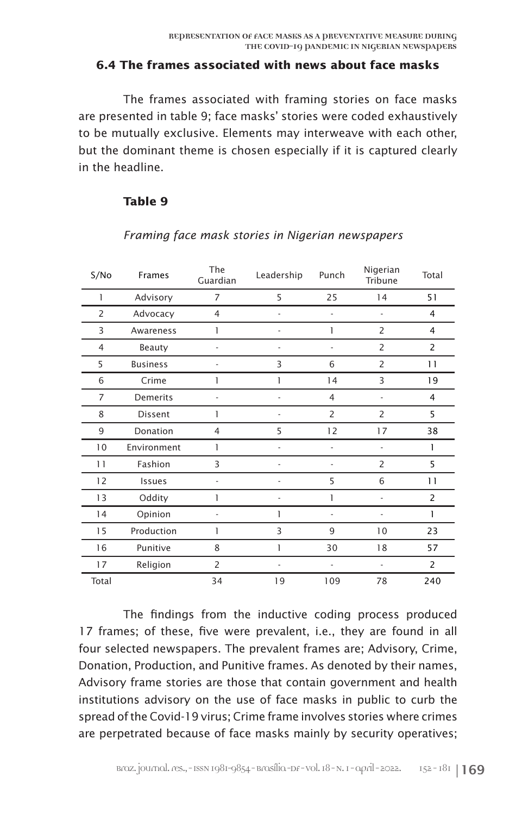#### **6.4 The frames associated with news about face masks**

The frames associated with framing stories on face masks are presented in table 9; face masks' stories were coded exhaustively to be mutually exclusive. Elements may interweave with each other, but the dominant theme is chosen especially if it is captured clearly in the headline.

#### **Table 9**

| S/No           | Frames          | The<br>Guardian | Leadership               | Punch          | Nigerian<br>Tribune | Total          |
|----------------|-----------------|-----------------|--------------------------|----------------|---------------------|----------------|
| 1              | Advisory        | $\overline{7}$  | 5                        | 25             | 14                  | 51             |
| $\overline{c}$ | Advocacy        | $\overline{4}$  |                          | $\overline{a}$ | $\overline{a}$      | 4              |
| 3              | Awareness       | 1               | L,                       | 1              | 2                   | 4              |
| 4              | Beauty          | ٠               |                          | ÷              | $\overline{2}$      | $\overline{c}$ |
| 5              | <b>Business</b> |                 | 3                        | 6              | $\overline{2}$      | 11             |
| 6              | Crime           | 1               | 1                        | 14             | 3                   | 19             |
| $\overline{7}$ | Demerits        | $\overline{a}$  |                          | $\overline{4}$ | $\overline{a}$      | 4              |
| 8              | Dissent         | 1               |                          | $\overline{2}$ | $\overline{2}$      | 5              |
| 9              | Donation        | 4               | 5                        | 12             | 17                  | 38             |
| 10             | Environment     | 1               | $\overline{a}$           | $\overline{a}$ | $\overline{a}$      | 1              |
| 11             | Fashion         | 3               | $\overline{a}$           | ÷              | $\overline{2}$      | 5              |
| 12             | Issues          | ٠               | $\overline{a}$           | 5              | 6                   | 11             |
| 13             | Oddity          | 1               | ÷                        | 1              | ÷                   | $\overline{c}$ |
| 14             | Opinion         | ٠               | 1                        | $\overline{a}$ |                     | 1              |
| 15             | Production      | 1               | 3                        | 9              | 10                  | 23             |
| 16             | Punitive        | 8               | 1                        | 30             | 18                  | 57             |
| 17             | Religion        | $\overline{2}$  | $\overline{\phantom{a}}$ | ÷              | ÷                   | $\overline{c}$ |
| Total          |                 | 34              | 19                       | 109            | 78                  | 240            |

### *Framing face mask stories in Nigerian newspapers*

The findings from the inductive coding process produced 17 frames; of these, five were prevalent, i.e., they are found in all four selected newspapers. The prevalent frames are; Advisory, Crime, Donation, Production, and Punitive frames. As denoted by their names, Advisory frame stories are those that contain government and health institutions advisory on the use of face masks in public to curb the spread of the Covid-19 virus; Crime frame involves stories where crimes are perpetrated because of face masks mainly by security operatives;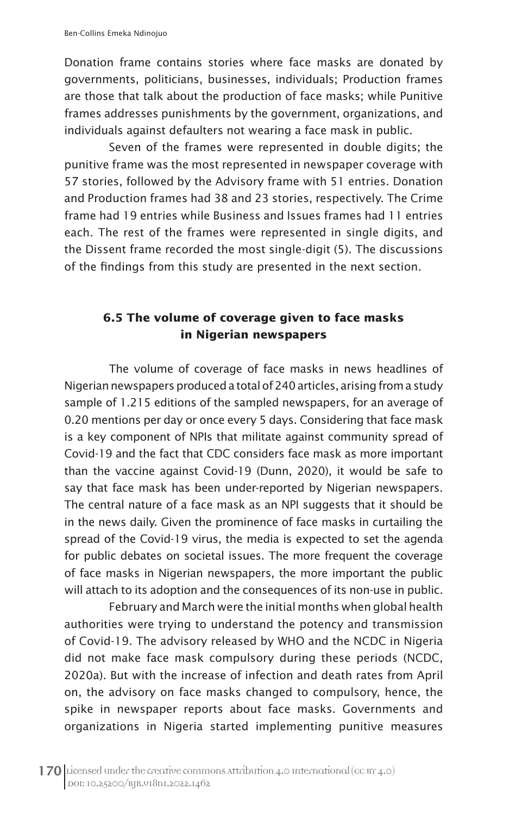Donation frame contains stories where face masks are donated by governments, politicians, businesses, individuals; Production frames are those that talk about the production of face masks; while Punitive frames addresses punishments by the government, organizations, and individuals against defaulters not wearing a face mask in public.

Seven of the frames were represented in double digits; the punitive frame was the most represented in newspaper coverage with 57 stories, followed by the Advisory frame with 51 entries. Donation and Production frames had 38 and 23 stories, respectively. The Crime frame had 19 entries while Business and Issues frames had 11 entries each. The rest of the frames were represented in single digits, and the Dissent frame recorded the most single-digit (5). The discussions of the findings from this study are presented in the next section.

## **6.5 The volume of coverage given to face masks in Nigerian newspapers**

The volume of coverage of face masks in news headlines of Nigerian newspapers produced a total of 240 articles, arising from a study sample of 1.215 editions of the sampled newspapers, for an average of 0.20 mentions per day or once every 5 days. Considering that face mask is a key component of NPIs that militate against community spread of Covid-19 and the fact that CDC considers face mask as more important than the vaccine against Covid-19 (Dunn, 2020), it would be safe to say that face mask has been under-reported by Nigerian newspapers. The central nature of a face mask as an NPI suggests that it should be in the news daily. Given the prominence of face masks in curtailing the spread of the Covid-19 virus, the media is expected to set the agenda for public debates on societal issues. The more frequent the coverage of face masks in Nigerian newspapers, the more important the public will attach to its adoption and the consequences of its non-use in public.

February and March were the initial months when global health authorities were trying to understand the potency and transmission of Covid-19. The advisory released by WHO and the NCDC in Nigeria did not make face mask compulsory during these periods (NCDC, 2020a). But with the increase of infection and death rates from April on, the advisory on face masks changed to compulsory, hence, the spike in newspaper reports about face masks. Governments and organizations in Nigeria started implementing punitive measures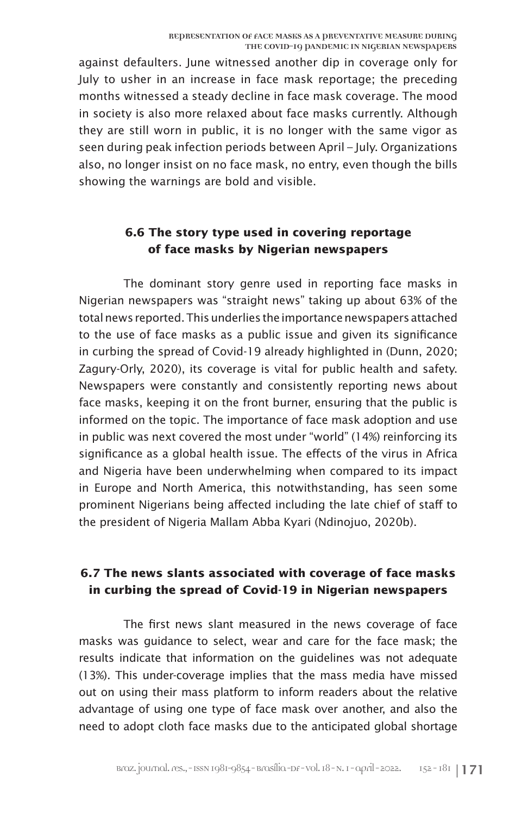against defaulters. June witnessed another dip in coverage only for July to usher in an increase in face mask reportage; the preceding months witnessed a steady decline in face mask coverage. The mood in society is also more relaxed about face masks currently. Although they are still worn in public, it is no longer with the same vigor as seen during peak infection periods between April – July. Organizations also, no longer insist on no face mask, no entry, even though the bills showing the warnings are bold and visible.

## **6.6 The story type used in covering reportage of face masks by Nigerian newspapers**

The dominant story genre used in reporting face masks in Nigerian newspapers was "straight news" taking up about 63% of the total news reported. This underlies the importance newspapers attached to the use of face masks as a public issue and given its significance in curbing the spread of Covid-19 already highlighted in (Dunn, 2020; Zagury-Orly, 2020), its coverage is vital for public health and safety. Newspapers were constantly and consistently reporting news about face masks, keeping it on the front burner, ensuring that the public is informed on the topic. The importance of face mask adoption and use in public was next covered the most under "world" (14%) reinforcing its significance as a global health issue. The effects of the virus in Africa and Nigeria have been underwhelming when compared to its impact in Europe and North America, this notwithstanding, has seen some prominent Nigerians being affected including the late chief of staff to the president of Nigeria Mallam Abba Kyari (Ndinojuo, 2020b).

## **6.7 The news slants associated with coverage of face masks in curbing the spread of Covid-19 in Nigerian newspapers**

The first news slant measured in the news coverage of face masks was guidance to select, wear and care for the face mask; the results indicate that information on the guidelines was not adequate (13%). This under-coverage implies that the mass media have missed out on using their mass platform to inform readers about the relative advantage of using one type of face mask over another, and also the need to adopt cloth face masks due to the anticipated global shortage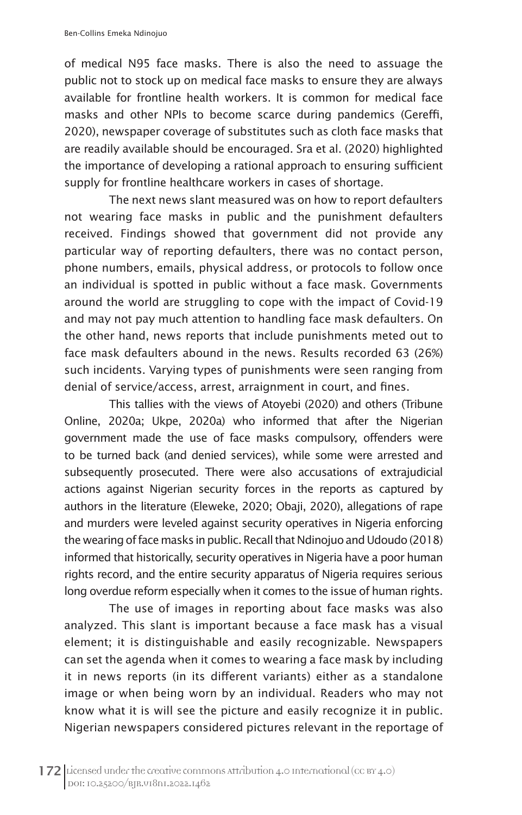of medical N95 face masks. There is also the need to assuage the public not to stock up on medical face masks to ensure they are always available for frontline health workers. It is common for medical face masks and other NPIs to become scarce during pandemics (Gereffi, 2020), newspaper coverage of substitutes such as cloth face masks that are readily available should be encouraged. Sra et al. (2020) highlighted the importance of developing a rational approach to ensuring sufficient supply for frontline healthcare workers in cases of shortage.

The next news slant measured was on how to report defaulters not wearing face masks in public and the punishment defaulters received. Findings showed that government did not provide any particular way of reporting defaulters, there was no contact person, phone numbers, emails, physical address, or protocols to follow once an individual is spotted in public without a face mask. Governments around the world are struggling to cope with the impact of Covid-19 and may not pay much attention to handling face mask defaulters. On the other hand, news reports that include punishments meted out to face mask defaulters abound in the news. Results recorded 63 (26%) such incidents. Varying types of punishments were seen ranging from denial of service/access, arrest, arraignment in court, and fines.

This tallies with the views of Atoyebi (2020) and others (Tribune Online, 2020a; Ukpe, 2020a) who informed that after the Nigerian government made the use of face masks compulsory, offenders were to be turned back (and denied services), while some were arrested and subsequently prosecuted. There were also accusations of extrajudicial actions against Nigerian security forces in the reports as captured by authors in the literature (Eleweke, 2020; Obaji, 2020), allegations of rape and murders were leveled against security operatives in Nigeria enforcing the wearing of face masks in public. Recall that Ndinojuo and Udoudo (2018) informed that historically, security operatives in Nigeria have a poor human rights record, and the entire security apparatus of Nigeria requires serious long overdue reform especially when it comes to the issue of human rights.

The use of images in reporting about face masks was also analyzed. This slant is important because a face mask has a visual element; it is distinguishable and easily recognizable. Newspapers can set the agenda when it comes to wearing a face mask by including it in news reports (in its different variants) either as a standalone image or when being worn by an individual. Readers who may not know what it is will see the picture and easily recognize it in public. Nigerian newspapers considered pictures relevant in the reportage of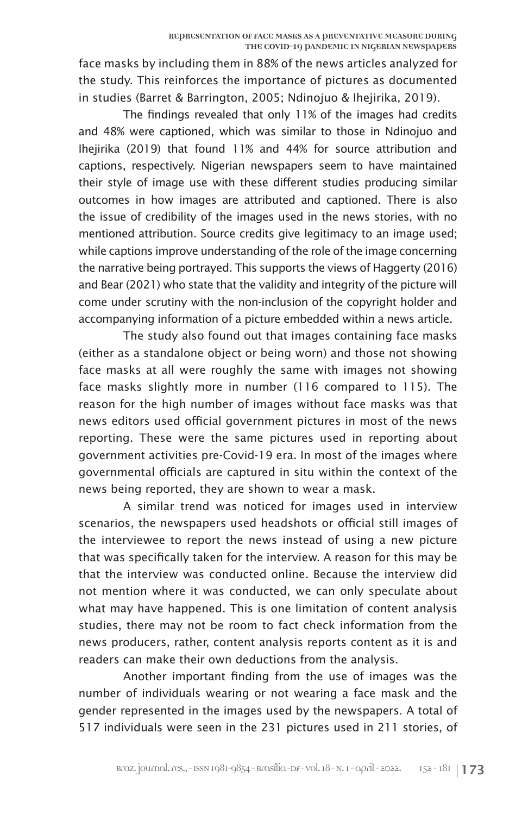face masks by including them in 88% of the news articles analyzed for the study. This reinforces the importance of pictures as documented in studies (Barret & Barrington, 2005; Ndinojuo & Ihejirika, 2019).

The findings revealed that only 11% of the images had credits and 48% were captioned, which was similar to those in Ndinojuo and Ihejirika (2019) that found 11% and 44% for source attribution and captions, respectively. Nigerian newspapers seem to have maintained their style of image use with these different studies producing similar outcomes in how images are attributed and captioned. There is also the issue of credibility of the images used in the news stories, with no mentioned attribution. Source credits give legitimacy to an image used; while captions improve understanding of the role of the image concerning the narrative being portrayed. This supports the views of Haggerty (2016) and Bear (2021) who state that the validity and integrity of the picture will come under scrutiny with the non-inclusion of the copyright holder and accompanying information of a picture embedded within a news article.

The study also found out that images containing face masks (either as a standalone object or being worn) and those not showing face masks at all were roughly the same with images not showing face masks slightly more in number (116 compared to 115). The reason for the high number of images without face masks was that news editors used official government pictures in most of the news reporting. These were the same pictures used in reporting about government activities pre-Covid-19 era. In most of the images where governmental officials are captured in situ within the context of the news being reported, they are shown to wear a mask.

A similar trend was noticed for images used in interview scenarios, the newspapers used headshots or official still images of the interviewee to report the news instead of using a new picture that was specifically taken for the interview. A reason for this may be that the interview was conducted online. Because the interview did not mention where it was conducted, we can only speculate about what may have happened. This is one limitation of content analysis studies, there may not be room to fact check information from the news producers, rather, content analysis reports content as it is and readers can make their own deductions from the analysis.

Another important finding from the use of images was the number of individuals wearing or not wearing a face mask and the gender represented in the images used by the newspapers. A total of 517 individuals were seen in the 231 pictures used in 211 stories, of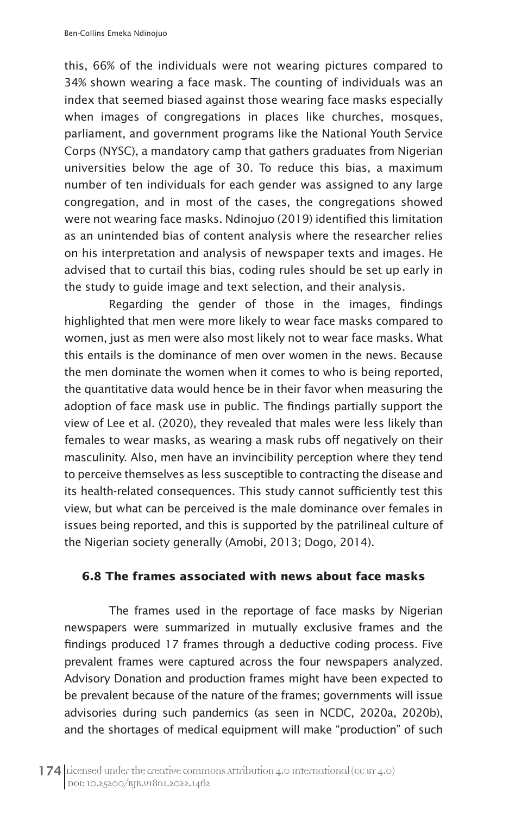this, 66% of the individuals were not wearing pictures compared to 34% shown wearing a face mask. The counting of individuals was an index that seemed biased against those wearing face masks especially when images of congregations in places like churches, mosques, parliament, and government programs like the National Youth Service Corps (NYSC), a mandatory camp that gathers graduates from Nigerian universities below the age of 30. To reduce this bias, a maximum number of ten individuals for each gender was assigned to any large congregation, and in most of the cases, the congregations showed were not wearing face masks. Ndinojuo (2019) identified this limitation as an unintended bias of content analysis where the researcher relies on his interpretation and analysis of newspaper texts and images. He advised that to curtail this bias, coding rules should be set up early in the study to guide image and text selection, and their analysis.

Regarding the gender of those in the images, findings highlighted that men were more likely to wear face masks compared to women, just as men were also most likely not to wear face masks. What this entails is the dominance of men over women in the news. Because the men dominate the women when it comes to who is being reported, the quantitative data would hence be in their favor when measuring the adoption of face mask use in public. The findings partially support the view of Lee et al. (2020), they revealed that males were less likely than females to wear masks, as wearing a mask rubs off negatively on their masculinity. Also, men have an invincibility perception where they tend to perceive themselves as less susceptible to contracting the disease and its health-related consequences. This study cannot sufficiently test this view, but what can be perceived is the male dominance over females in issues being reported, and this is supported by the patrilineal culture of the Nigerian society generally (Amobi, 2013; Dogo, 2014).

#### **6.8 The frames associated with news about face masks**

The frames used in the reportage of face masks by Nigerian newspapers were summarized in mutually exclusive frames and the findings produced 17 frames through a deductive coding process. Five prevalent frames were captured across the four newspapers analyzed. Advisory Donation and production frames might have been expected to be prevalent because of the nature of the frames; governments will issue advisories during such pandemics (as seen in NCDC, 2020a, 2020b), and the shortages of medical equipment will make "production" of such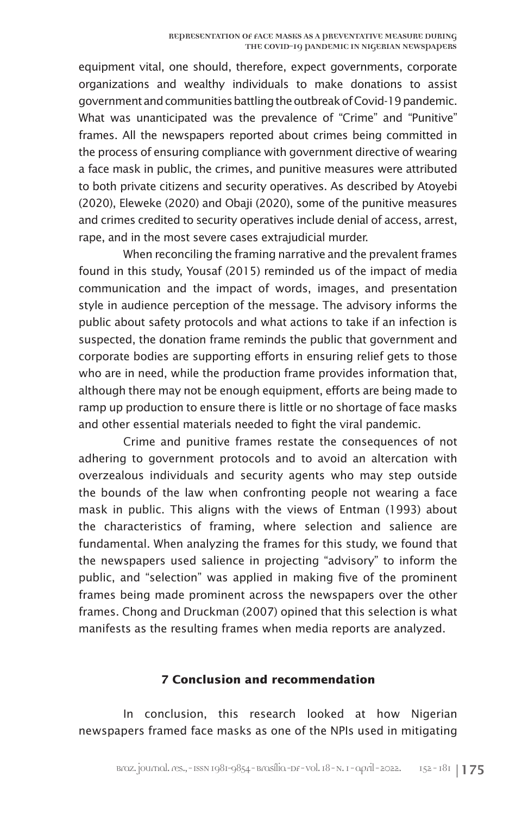equipment vital, one should, therefore, expect governments, corporate organizations and wealthy individuals to make donations to assist government and communities battling the outbreak of Covid-19 pandemic. What was unanticipated was the prevalence of "Crime" and "Punitive" frames. All the newspapers reported about crimes being committed in the process of ensuring compliance with government directive of wearing a face mask in public, the crimes, and punitive measures were attributed to both private citizens and security operatives. As described by Atoyebi (2020), Eleweke (2020) and Obaji (2020), some of the punitive measures and crimes credited to security operatives include denial of access, arrest, rape, and in the most severe cases extrajudicial murder.

When reconciling the framing narrative and the prevalent frames found in this study, Yousaf (2015) reminded us of the impact of media communication and the impact of words, images, and presentation style in audience perception of the message. The advisory informs the public about safety protocols and what actions to take if an infection is suspected, the donation frame reminds the public that government and corporate bodies are supporting efforts in ensuring relief gets to those who are in need, while the production frame provides information that, although there may not be enough equipment, efforts are being made to ramp up production to ensure there is little or no shortage of face masks and other essential materials needed to fight the viral pandemic.

Crime and punitive frames restate the consequences of not adhering to government protocols and to avoid an altercation with overzealous individuals and security agents who may step outside the bounds of the law when confronting people not wearing a face mask in public. This aligns with the views of Entman (1993) about the characteristics of framing, where selection and salience are fundamental. When analyzing the frames for this study, we found that the newspapers used salience in projecting "advisory" to inform the public, and "selection" was applied in making five of the prominent frames being made prominent across the newspapers over the other frames. Chong and Druckman (2007) opined that this selection is what manifests as the resulting frames when media reports are analyzed.

#### **7 Conclusion and recommendation**

In conclusion, this research looked at how Nigerian newspapers framed face masks as one of the NPIs used in mitigating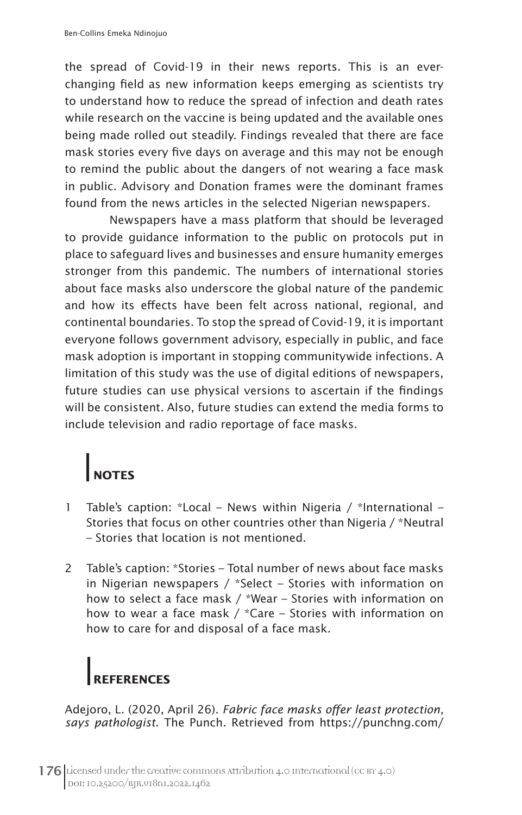the spread of Covid-19 in their news reports. This is an everchanging field as new information keeps emerging as scientists try to understand how to reduce the spread of infection and death rates while research on the vaccine is being updated and the available ones being made rolled out steadily. Findings revealed that there are face mask stories every five days on average and this may not be enough to remind the public about the dangers of not wearing a face mask in public. Advisory and Donation frames were the dominant frames found from the news articles in the selected Nigerian newspapers.

Newspapers have a mass platform that should be leveraged to provide guidance information to the public on protocols put in place to safeguard lives and businesses and ensure humanity emerges stronger from this pandemic. The numbers of international stories about face masks also underscore the global nature of the pandemic and how its effects have been felt across national, regional, and continental boundaries. To stop the spread of Covid-19, it is important everyone follows government advisory, especially in public, and face mask adoption is important in stopping communitywide infections. A limitation of this study was the use of digital editions of newspapers, future studies can use physical versions to ascertain if the findings will be consistent. Also, future studies can extend the media forms to include television and radio reportage of face masks.

## **NOTES**

- 1 Table's caption: \*Local News within Nigeria / \*International Stories that focus on other countries other than Nigeria / \*Neutral – Stories that location is not mentioned.
- 2 Table's caption: \*Stories Total number of news about face masks in Nigerian newspapers / \*Select – Stories with information on how to select a face mask / \*Wear – Stories with information on how to wear a face mask / \*Care – Stories with information on how to care for and disposal of a face mask.

# **REFERENCES**

Adejoro, L. (2020, April 26). *Fabric face masks offer least protection, says pathologist*. The Punch. Retrieved from https://punchng.com/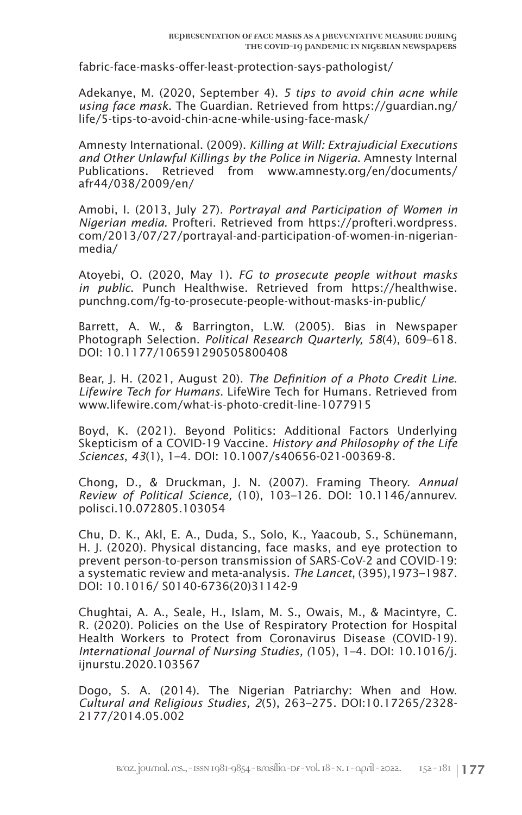fabric-face-masks-offer-least-protection-says-pathologist/

Adekanye, M. (2020, September 4). *5 tips to avoid chin acne while using face mask*. The Guardian. Retrieved from https://guardian.ng/ life/5-tips-to-avoid-chin-acne-while-using-face-mask/

Amnesty International. (2009). *Killing at Will: Extrajudicial Executions and Other Unlawful Killings by the Police in Nigeria*. Amnesty Internal Publications. Retrieved from www.amnesty.org/en/documents/ afr44/038/2009/en/

Amobi, I. (2013, July 27). *Portrayal and Participation of Women in Nigerian media*. Profteri. Retrieved from https://profteri.wordpress. com/2013/07/27/portrayal-and-participation-of-women-in-nigerianmedia/

Atoyebi, O. (2020, May 1). *FG to prosecute people without masks in public*. Punch Healthwise. Retrieved from https://healthwise. punchng.com/fg-to-prosecute-people-without-masks-in-public/

Barrett, A. W., & Barrington, L.W. (2005). Bias in Newspaper Photograph Selection. *Political Research Quarterly, 58*(4), 609–618. DOI: 10.1177/106591290505800408

Bear, J. H. (2021, August 20). *The Definition of a Photo Credit Line*. *Lifewire Tech for Humans*. LifeWire Tech for Humans. Retrieved from www.lifewire.com/what-is-photo-credit-line-1077915

Boyd, K. (2021). Beyond Politics: Additional Factors Underlying Skepticism of a COVID-19 Vaccine. *History and Philosophy of the Life Sciences*, *43*(1), 1–4. DOI: 10.1007/s40656-021-00369-8.

Chong, D., & Druckman, J. N. (2007). Framing Theory. *Annual Review of Political Science,* (10), 103–126. DOI: 10.1146/annurev. polisci.10.072805.103054

Chu, D. K., Akl, E. A., Duda, S., Solo, K., Yaacoub, S., Schünemann, H. J. (2020). Physical distancing, face masks, and eye protection to prevent person-to-person transmission of SARS-CoV-2 and COVID-19: a systematic review and meta-analysis. *The Lancet*, (395),1973–1987. DOI: 10.1016/ S0140-6736(20)31142-9

Chughtai, A. A., Seale, H., Islam, M. S., Owais, M., & Macintyre, C. R. (2020). Policies on the Use of Respiratory Protection for Hospital Health Workers to Protect from Coronavirus Disease (COVID-19). *International Journal of Nursing Studies, (*105), 1–4. DOI: 10.1016/j. ijnurstu.2020.103567

Dogo, S. A. (2014). The Nigerian Patriarchy: When and How. *Cultural and Religious Studies, 2*(5), 263–275. DOI:10.17265/2328- 2177/2014.05.002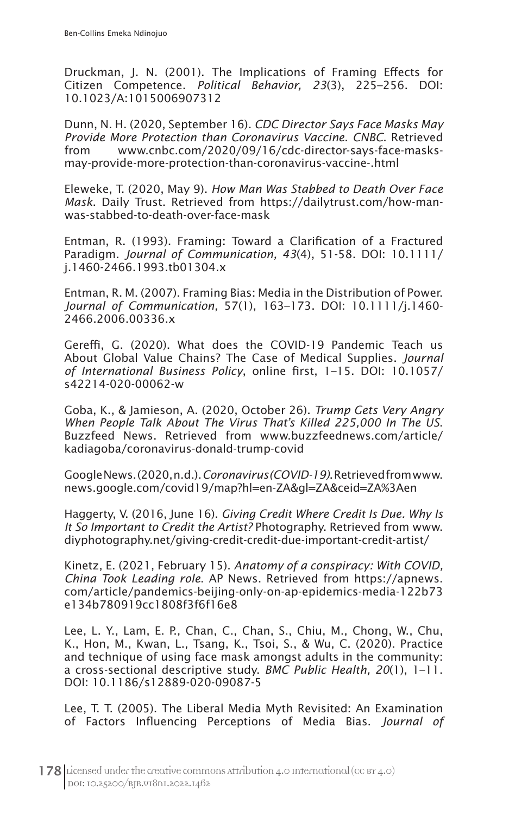Druckman, J. N. (2001). The Implications of Framing Effects for Citizen Competence. *Political Behavior, 23*(3), 225–256. DOI: 10.1023/A:1015006907312

Dunn, N. H. (2020, September 16). *CDC Director Says Face Masks May Provide More Protection than Coronavirus Vaccine*. *CNBC*. Retrieved from www.cnbc.com/2020/09/16/cdc-director-says-face-masksmay-provide-more-protection-than-coronavirus-vaccine-.html

Eleweke, T. (2020, May 9). *How Man Was Stabbed to Death Over Face Mask*. Daily Trust. Retrieved from https://dailytrust.com/how-manwas-stabbed-to-death-over-face-mask

Entman, R. (1993). Framing: Toward a Clarification of a Fractured Paradigm. *Journal of Communication, 43*(4), 51-58. DOI: 10.1111/ j.1460-2466.1993.tb01304.x

Entman, R. M. (2007). Framing Bias: Media in the Distribution of Power. *Journal of Communication,* 57(1), 163–173. DOI: 10.1111/j.1460- 2466.2006.00336.x

Gereffi, G. (2020). What does the COVID-19 Pandemic Teach us About Global Value Chains? The Case of Medical Supplies. *Journal of International Business Policy*, online first, 1–15. DOI: 10.1057/ s42214-020-00062-w

Goba, K., & Jamieson, A. (2020, October 26). *Trump Gets Very Angry When People Talk About The Virus That's Killed 225,000 In The US*. Buzzfeed News. Retrieved from www.buzzfeednews.com/article/ kadiagoba/coronavirus-donald-trump-covid

Google News. (2020, n.d.). *Coronavirus (COVID-19)*. Retrieved from www. news.google.com/covid19/map?hl=en-ZA&gl=ZA&ceid=ZA%3Aen

Haggerty, V. (2016, June 16). *Giving Credit Where Credit Is Due. Why Is It So Important to Credit the Artist?* Photography. Retrieved from www. diyphotography.net/giving-credit-credit-due-important-credit-artist/

Kinetz, E. (2021, February 15). *Anatomy of a conspiracy: With COVID, China Took Leading role*. AP News. Retrieved from https://apnews. com/article/pandemics-beijing-only-on-ap-epidemics-media-122b73 e134b780919cc1808f3f6f16e8

Lee, L. Y., Lam, E. P., Chan, C., Chan, S., Chiu, M., Chong, W., Chu, K., Hon, M., Kwan, L., Tsang, K., Tsoi, S., & Wu, C. (2020). Practice and technique of using face mask amongst adults in the community: a cross-sectional descriptive study. *BMC Public Health, 20*(1), 1–11. DOI: 10.1186/s12889-020-09087-5

Lee, T. T. (2005). The Liberal Media Myth Revisited: An Examination of Factors Influencing Perceptions of Media Bias. *Journal of*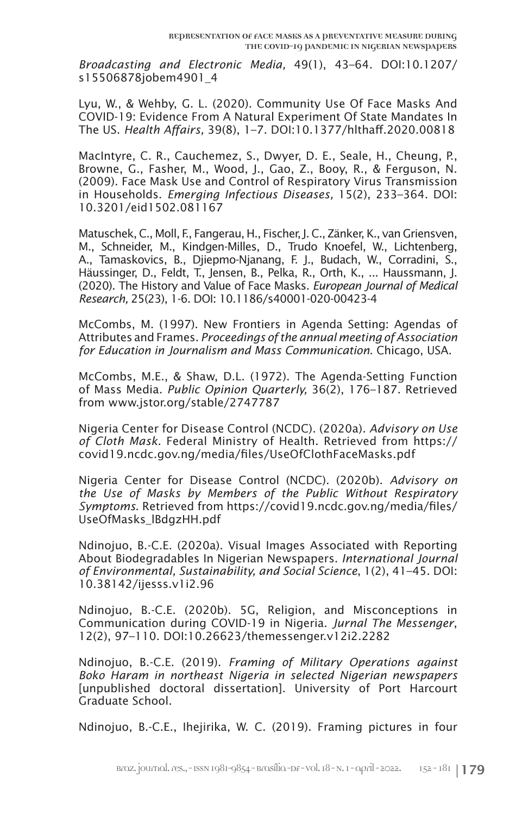*Broadcasting and Electronic Media,* 49(1), 43–64. DOI:10.1207/ s15506878jobem4901\_4

Lyu, W., & Wehby, G. L. (2020). Community Use Of Face Masks And COVID-19: Evidence From A Natural Experiment Of State Mandates In The US. *Health Affairs,* 39(8), 1–7. DOI:10.1377/hlthaff.2020.00818

MacIntyre, C. R., Cauchemez, S., Dwyer, D. E., Seale, H., Cheung, P., Browne, G., Fasher, M., Wood, J., Gao, Z., Booy, R., & Ferguson, N. (2009). Face Mask Use and Control of Respiratory Virus Transmission in Households. *Emerging Infectious Diseases,* 15(2), 233–364. DOI: 10.3201/eid1502.081167

Matuschek, C., Moll, F., Fangerau, H., Fischer, J. C., Zänker, K., van Griensven, M., Schneider, M., Kindgen-Milles, D., Trudo Knoefel, W., Lichtenberg, A., Tamaskovics, B., Djiepmo-Njanang, F. J., Budach, W., Corradini, S., Häussinger, D., Feldt, T., Jensen, B., Pelka, R., Orth, K., ... Haussmann, J. (2020). The History and Value of Face Masks. *European Journal of Medical Research,* 25(23), 1-6. DOI: 10.1186/s40001-020-00423-4

McCombs, M. (1997). New Frontiers in Agenda Setting: Agendas of Attributes and Frames. *Proceedings of the annual meeting of Association for Education in Journalism and Mass Communication*. Chicago, USA.

McCombs, M.E., & Shaw, D.L. (1972). The Agenda-Setting Function of Mass Media. *Public Opinion Quarterly,* 36(2), 176–187. Retrieved from www.jstor.org/stable/2747787

Nigeria Center for Disease Control (NCDC). (2020a). *Advisory on Use of Cloth Mask*. Federal Ministry of Health. Retrieved from https:// covid19.ncdc.gov.ng/media/files/UseOfClothFaceMasks.pdf

Nigeria Center for Disease Control (NCDC). (2020b). *Advisory on the Use of Masks by Members of the Public Without Respiratory Symptoms*. Retrieved from https://covid19.ncdc.gov.ng/media/files/ UseOfMasks\_lBdgzHH.pdf

Ndinojuo, B.-C.E. (2020a). Visual Images Associated with Reporting About Biodegradables In Nigerian Newspapers. *International Journal of Environmental, Sustainability, and Social Science*, 1(2), 41–45. DOI: 10.38142/ijesss.v1i2.96

Ndinojuo, B.-C.E. (2020b). 5G, Religion, and Misconceptions in Communication during COVID-19 in Nigeria. *Jurnal The Messenger*, 12(2), 97–110. DOI:10.26623/themessenger.v12i2.2282

Ndinojuo, B.-C.E. (2019). *Framing of Military Operations against Boko Haram in northeast Nigeria in selected Nigerian newspapers* [unpublished doctoral dissertation]. University of Port Harcourt Graduate School.

Ndinojuo, B.-C.E., Ihejirika, W. C. (2019). Framing pictures in four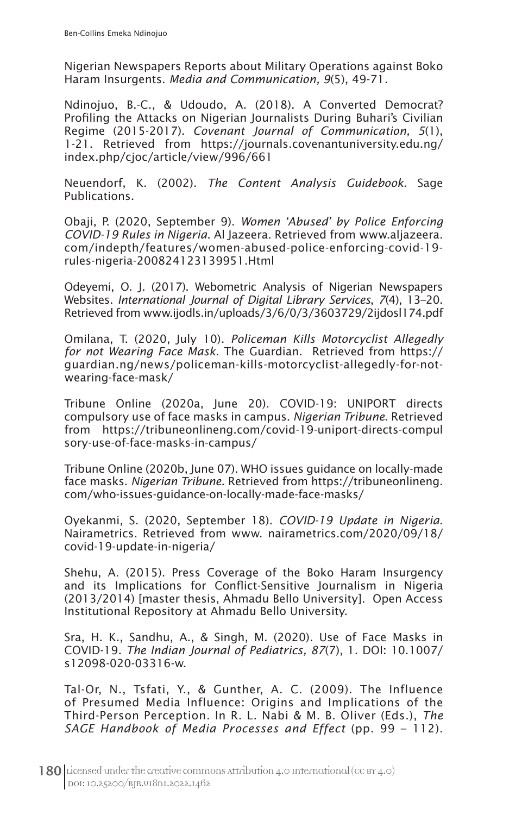Nigerian Newspapers Reports about Military Operations against Boko Haram Insurgents. *Media and Communication, 9*(5), 49-71.

Ndinojuo, B.-C., & Udoudo, A. (2018). A Converted Democrat? Profiling the Attacks on Nigerian Journalists During Buhari's Civilian Regime (2015-2017). *Covenant Journal of Communication, 5*(1), 1-21. Retrieved from https://journals.covenantuniversity.edu.ng/ index.php/cjoc/article/view/996/661

Neuendorf, K. (2002). *The Content Analysis Guidebook*. Sage Publications.

Obaji, P. (2020, September 9). *Women 'Abused' by Police Enforcing COVID-19 Rules in Nigeria*. Al Jazeera. Retrieved from www.aljazeera. com/indepth/features/women-abused-police-enforcing-covid-19 rules-nigeria-200824123139951.Html

Odeyemi, O. J. (2017). Webometric Analysis of Nigerian Newspapers Websites. *International Journal of Digital Library Services*, *7*(4), 13–20. Retrieved from www.ijodls.in/uploads/3/6/0/3/3603729/2ijdosl174.pdf

Omilana, T. (2020, July 10). *Policeman Kills Motorcyclist Allegedly for not Wearing Face Mask*. The Guardian. Retrieved from https:// guardian.ng/news/policeman-kills-motorcyclist-allegedly-for-notwearing-face-mask/

Tribune Online (2020a, June 20). COVID-19: UNIPORT directs compulsory use of face masks in campus. *Nigerian Tribune*. Retrieved from https://tribuneonlineng.com/covid-19-uniport-directs-compul sory-use-of-face-masks-in-campus/

Tribune Online (2020b, June 07). WHO issues guidance on locally-made face masks. *Nigerian Tribune*. Retrieved from https://tribuneonlineng. com/who-issues-guidance-on-locally-made-face-masks/

Oyekanmi, S. (2020, September 18). *COVID-19 Update in Nigeria*. Nairametrics. Retrieved from www. nairametrics.com/2020/09/18/ covid-19-update-in-nigeria/

Shehu, A. (2015). Press Coverage of the Boko Haram Insurgency and its Implications for Conflict-Sensitive Journalism in Nigeria (2013/2014) [master thesis, Ahmadu Bello University]. Open Access Institutional Repository at Ahmadu Bello University.

Sra, H. K., Sandhu, A., & Singh, M. (2020). Use of Face Masks in COVID-19. *The Indian Journal of Pediatrics, 87*(7), 1. DOI: 10.1007/ s12098-020-03316-w.

Tal-Or, N., Tsfati, Y., & Gunther, A. C. (2009). The Influence of Presumed Media Influence: Origins and Implications of the Third-Person Perception. In R. L. Nabi & M. B. Oliver (Eds.), *The SAGE Handbook of Media Processes and Effect* (pp. 99 – 112).